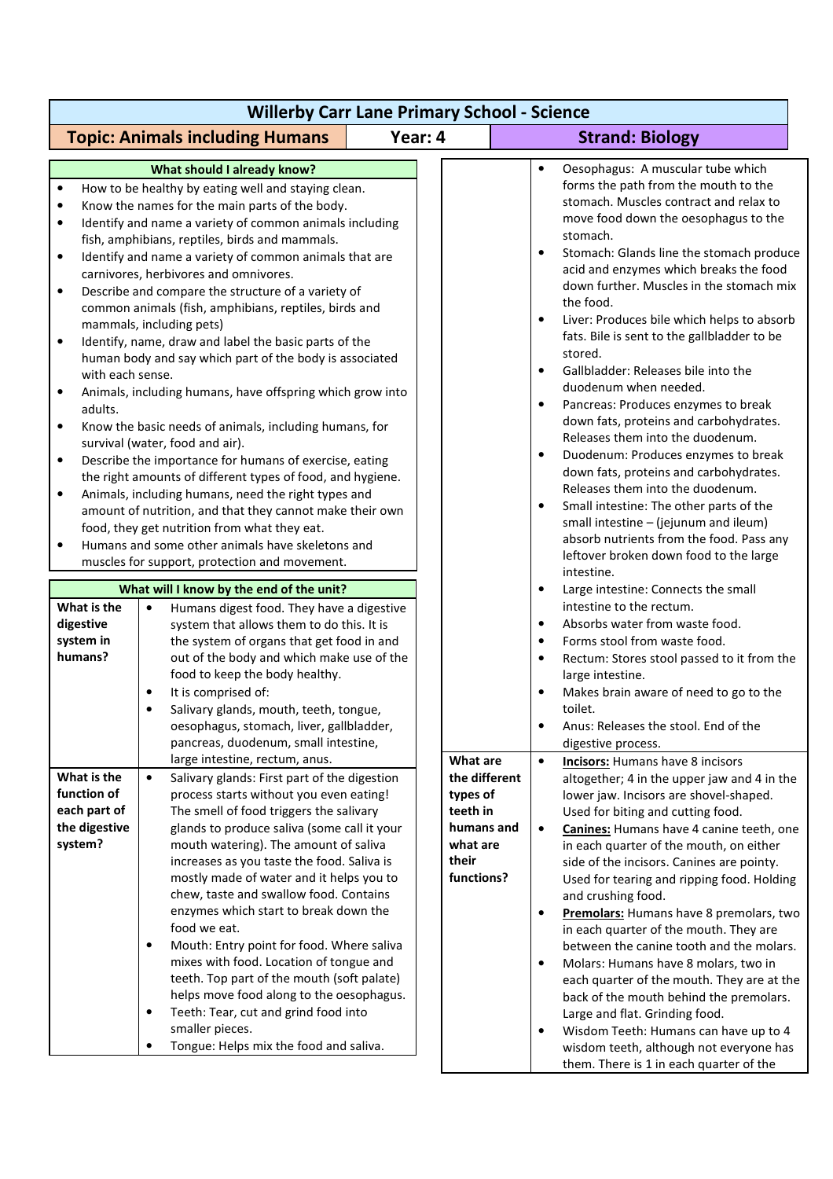| <b>Willerby Carr Lane Primary School - Science</b>                                                                                                                                                     |                                                                                                                                                                                                                                                                                                                                                                                                                                                                                                                                                                                                                                                                                                                                                                                                                                                                                                                                                                                                                                                                                                                                                                                                                                                                                                                                                                                                                            |                                                                                                    |                                                                                                                                                                                                                                                                                                                                                                                                                                                                                                                                                                                                                                                                                                                                                                                                                                                                                                                                                                                                                                                                                                                                                                                                   |  |  |  |
|--------------------------------------------------------------------------------------------------------------------------------------------------------------------------------------------------------|----------------------------------------------------------------------------------------------------------------------------------------------------------------------------------------------------------------------------------------------------------------------------------------------------------------------------------------------------------------------------------------------------------------------------------------------------------------------------------------------------------------------------------------------------------------------------------------------------------------------------------------------------------------------------------------------------------------------------------------------------------------------------------------------------------------------------------------------------------------------------------------------------------------------------------------------------------------------------------------------------------------------------------------------------------------------------------------------------------------------------------------------------------------------------------------------------------------------------------------------------------------------------------------------------------------------------------------------------------------------------------------------------------------------------|----------------------------------------------------------------------------------------------------|---------------------------------------------------------------------------------------------------------------------------------------------------------------------------------------------------------------------------------------------------------------------------------------------------------------------------------------------------------------------------------------------------------------------------------------------------------------------------------------------------------------------------------------------------------------------------------------------------------------------------------------------------------------------------------------------------------------------------------------------------------------------------------------------------------------------------------------------------------------------------------------------------------------------------------------------------------------------------------------------------------------------------------------------------------------------------------------------------------------------------------------------------------------------------------------------------|--|--|--|
| <b>Topic: Animals including Humans</b>                                                                                                                                                                 |                                                                                                                                                                                                                                                                                                                                                                                                                                                                                                                                                                                                                                                                                                                                                                                                                                                                                                                                                                                                                                                                                                                                                                                                                                                                                                                                                                                                                            | Year: 4                                                                                            | <b>Strand: Biology</b>                                                                                                                                                                                                                                                                                                                                                                                                                                                                                                                                                                                                                                                                                                                                                                                                                                                                                                                                                                                                                                                                                                                                                                            |  |  |  |
| $\bullet$<br>٠<br>٠<br>$\bullet$<br>$\bullet$<br>٠<br>with each sense.<br>$\bullet$<br>adults.<br>$\bullet$<br>$\bullet$<br>$\bullet$<br>$\bullet$<br>What is the<br>digestive<br>system in<br>humans? | What should I already know?<br>How to be healthy by eating well and staying clean.<br>Know the names for the main parts of the body.<br>Identify and name a variety of common animals including<br>fish, amphibians, reptiles, birds and mammals.<br>Identify and name a variety of common animals that are<br>carnivores, herbivores and omnivores.<br>Describe and compare the structure of a variety of<br>common animals (fish, amphibians, reptiles, birds and<br>mammals, including pets)<br>Identify, name, draw and label the basic parts of the<br>human body and say which part of the body is associated<br>Animals, including humans, have offspring which grow into<br>Know the basic needs of animals, including humans, for<br>survival (water, food and air).<br>Describe the importance for humans of exercise, eating<br>the right amounts of different types of food, and hygiene.<br>Animals, including humans, need the right types and<br>amount of nutrition, and that they cannot make their own<br>food, they get nutrition from what they eat.<br>Humans and some other animals have skeletons and<br>muscles for support, protection and movement.<br>What will I know by the end of the unit?<br>Humans digest food. They have a digestive<br>$\bullet$<br>system that allows them to do this. It is<br>the system of organs that get food in and<br>out of the body and which make use of the |                                                                                                    | Oesophagus: A muscular tube which<br>$\bullet$<br>forms the path from the mouth to the<br>stomach. Muscles contract and relax to<br>move food down the oesophagus to the<br>stomach.<br>Stomach: Glands line the stomach produce<br>acid and enzymes which breaks the food<br>down further. Muscles in the stomach mix<br>the food.<br>Liver: Produces bile which helps to absorb<br>fats. Bile is sent to the gallbladder to be<br>stored.<br>Gallbladder: Releases bile into the<br>$\bullet$<br>duodenum when needed.<br>Pancreas: Produces enzymes to break<br>$\bullet$<br>down fats, proteins and carbohydrates.<br>Releases them into the duodenum.<br>Duodenum: Produces enzymes to break<br>down fats, proteins and carbohydrates.<br>Releases them into the duodenum.<br>Small intestine: The other parts of the<br>small intestine - (jejunum and ileum)<br>absorb nutrients from the food. Pass any<br>leftover broken down food to the large<br>intestine.<br>Large intestine: Connects the small<br>intestine to the rectum.<br>Absorbs water from waste food.<br>$\bullet$<br>Forms stool from waste food.<br>$\bullet$<br>Rectum: Stores stool passed to it from the<br>$\bullet$ |  |  |  |
| What is the<br>function of<br>each part of<br>the digestive<br>system?                                                                                                                                 | food to keep the body healthy.<br>It is comprised of:<br>$\bullet$<br>Salivary glands, mouth, teeth, tongue,<br>oesophagus, stomach, liver, gallbladder,<br>pancreas, duodenum, small intestine,<br>large intestine, rectum, anus.<br>Salivary glands: First part of the digestion<br>$\bullet$<br>process starts without you even eating!<br>The smell of food triggers the salivary<br>glands to produce saliva (some call it your<br>mouth watering). The amount of saliva<br>increases as you taste the food. Saliva is<br>mostly made of water and it helps you to<br>chew, taste and swallow food. Contains<br>enzymes which start to break down the<br>food we eat.<br>Mouth: Entry point for food. Where saliva<br>$\bullet$<br>mixes with food. Location of tongue and<br>teeth. Top part of the mouth (soft palate)<br>helps move food along to the oesophagus.<br>Teeth: Tear, cut and grind food into<br>$\bullet$<br>smaller pieces.<br>Tongue: Helps mix the food and saliva.                                                                                                                                                                                                                                                                                                                                                                                                                                | What are<br>the different<br>types of<br>teeth in<br>humans and<br>what are<br>their<br>functions? | large intestine.<br>Makes brain aware of need to go to the<br>toilet.<br>Anus: Releases the stool. End of the<br>digestive process.<br><b>Incisors:</b> Humans have 8 incisors<br>$\bullet$<br>altogether; 4 in the upper jaw and 4 in the<br>lower jaw. Incisors are shovel-shaped.<br>Used for biting and cutting food.<br>Canines: Humans have 4 canine teeth, one<br>in each quarter of the mouth, on either<br>side of the incisors. Canines are pointy.<br>Used for tearing and ripping food. Holding<br>and crushing food.<br>Premolars: Humans have 8 premolars, two<br>٠<br>in each quarter of the mouth. They are<br>between the canine tooth and the molars.<br>Molars: Humans have 8 molars, two in<br>each quarter of the mouth. They are at the<br>back of the mouth behind the premolars.<br>Large and flat. Grinding food.<br>Wisdom Teeth: Humans can have up to 4<br>wisdom teeth, although not everyone has<br>them. There is 1 in each quarter of the                                                                                                                                                                                                                         |  |  |  |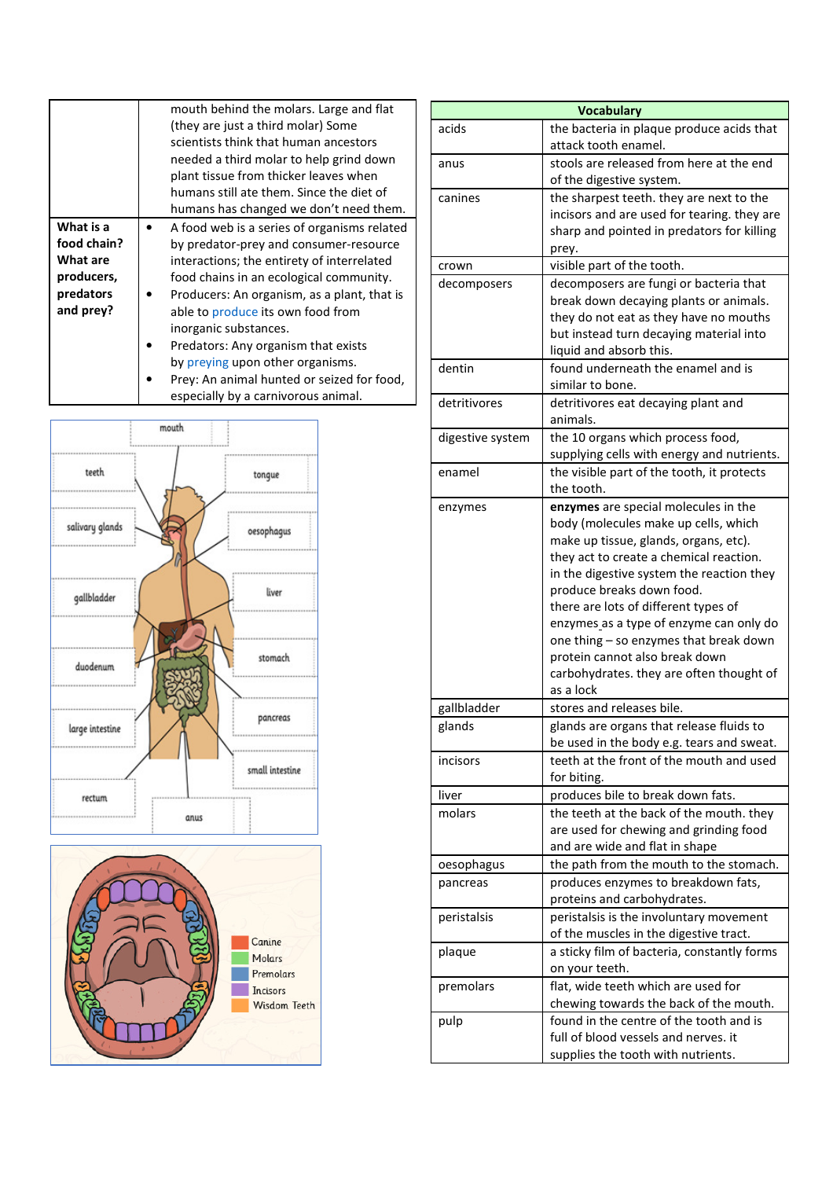|                                                                              | mouth behind the molars. Large and flat<br>(they are just a third molar) Some<br>scientists think that human ancestors<br>needed a third molar to help grind down<br>plant tissue from thicker leaves when<br>humans still ate them. Since the diet of<br>humans has changed we don't need them.                                                                                                                                                            |
|------------------------------------------------------------------------------|-------------------------------------------------------------------------------------------------------------------------------------------------------------------------------------------------------------------------------------------------------------------------------------------------------------------------------------------------------------------------------------------------------------------------------------------------------------|
| What is a<br>food chain?<br>What are<br>producers,<br>predators<br>and prey? | A food web is a series of organisms related<br>by predator-prey and consumer-resource<br>interactions; the entirety of interrelated<br>food chains in an ecological community.<br>Producers: An organism, as a plant, that is<br>able to produce its own food from<br>inorganic substances.<br>Predators: Any organism that exists<br>by preying upon other organisms.<br>Prey: An animal hunted or seized for food,<br>especially by a carnivorous animal. |





| <b>Vocabulary</b> |                                                                                                                                                                                                                                                                                                                                                                                                                                                                    |  |  |
|-------------------|--------------------------------------------------------------------------------------------------------------------------------------------------------------------------------------------------------------------------------------------------------------------------------------------------------------------------------------------------------------------------------------------------------------------------------------------------------------------|--|--|
| acids             | the bacteria in plaque produce acids that<br>attack tooth enamel.                                                                                                                                                                                                                                                                                                                                                                                                  |  |  |
| anus              | stools are released from here at the end<br>of the digestive system.                                                                                                                                                                                                                                                                                                                                                                                               |  |  |
| canines           | the sharpest teeth. they are next to the<br>incisors and are used for tearing. they are<br>sharp and pointed in predators for killing<br>prey.                                                                                                                                                                                                                                                                                                                     |  |  |
| crown             | visible part of the tooth.                                                                                                                                                                                                                                                                                                                                                                                                                                         |  |  |
| decomposers       | decomposers are fungi or bacteria that<br>break down decaying plants or animals.<br>they do not eat as they have no mouths<br>but instead turn decaying material into<br>liquid and absorb this.                                                                                                                                                                                                                                                                   |  |  |
| dentin            | found underneath the enamel and is<br>similar to bone.                                                                                                                                                                                                                                                                                                                                                                                                             |  |  |
| detritivores      | detritivores eat decaying plant and<br>animals.                                                                                                                                                                                                                                                                                                                                                                                                                    |  |  |
| digestive system  | the 10 organs which process food,<br>supplying cells with energy and nutrients.                                                                                                                                                                                                                                                                                                                                                                                    |  |  |
| enamel            | the visible part of the tooth, it protects<br>the tooth.                                                                                                                                                                                                                                                                                                                                                                                                           |  |  |
| enzymes           | enzymes are special molecules in the<br>body (molecules make up cells, which<br>make up tissue, glands, organs, etc).<br>they act to create a chemical reaction.<br>in the digestive system the reaction they<br>produce breaks down food.<br>there are lots of different types of<br>enzymes as a type of enzyme can only do<br>one thing - so enzymes that break down<br>protein cannot also break down<br>carbohydrates. they are often thought of<br>as a lock |  |  |
| gallbladder       | stores and releases bile.                                                                                                                                                                                                                                                                                                                                                                                                                                          |  |  |
| glands            | glands are organs that release fluids to<br>be used in the body e.g. tears and sweat.                                                                                                                                                                                                                                                                                                                                                                              |  |  |
| incisors          | teeth at the front of the mouth and used<br>for biting.                                                                                                                                                                                                                                                                                                                                                                                                            |  |  |
| liver             | produces bile to break down fats.                                                                                                                                                                                                                                                                                                                                                                                                                                  |  |  |
| molars            | the teeth at the back of the mouth. they<br>are used for chewing and grinding food<br>and are wide and flat in shape                                                                                                                                                                                                                                                                                                                                               |  |  |
| oesophagus        | the path from the mouth to the stomach.                                                                                                                                                                                                                                                                                                                                                                                                                            |  |  |
| pancreas          | produces enzymes to breakdown fats,<br>proteins and carbohydrates.                                                                                                                                                                                                                                                                                                                                                                                                 |  |  |
| peristalsis       | peristalsis is the involuntary movement<br>of the muscles in the digestive tract.                                                                                                                                                                                                                                                                                                                                                                                  |  |  |
| plaque            | a sticky film of bacteria, constantly forms<br>on your teeth.                                                                                                                                                                                                                                                                                                                                                                                                      |  |  |
| premolars         | flat, wide teeth which are used for<br>chewing towards the back of the mouth.                                                                                                                                                                                                                                                                                                                                                                                      |  |  |
| pulp              | found in the centre of the tooth and is<br>full of blood vessels and nerves, it<br>supplies the tooth with nutrients.                                                                                                                                                                                                                                                                                                                                              |  |  |